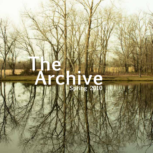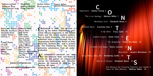■■ **Editors-in-Chief Designers Fiction Editor PPoetry Editor C Kevin Lincoln Maheen Shermohammed Katherine Buse Gustavo Alvarez Mary Fletcher King Gregg Tourville** Hippomene - **Ashley Chang 2 O** . . ■■■ This is an Apology - **Melissa Miller** 5 **N** Mendelian Error - **Elizabeth Beam** 6 8 E  $\Box$ **T** Mermaid Marie - **Courtney Han** 9 **Editorial Staff Established in 1887, The Archive is Associate Editors Patrick Baker L**one of the oldest continuously pub-**Amanda Auerbach** In My Mind - **Tracy Gold** 19 **Ryan Brown Elizabeth Beam lished literary magazines in the United Katie Chun Valerie Henry States and the oldest student publica-Chris Donati** mother-of-pearl - **Katie Chun** 19 **E Shining Li tion at Duke University. The Archive is Bonnie Fishel published twice a year through the Un-Paul Fullerton dergraduate Publications Board of Duke Daniel Fishman** The Singularity - **Katherine Buse** 30 **Cover Photo: University, Durham, N.C., and is printed Lucy Goodson** Michael **Jessica Nicholson by The Publishing Place. The Archive N McCreary** To Watch Him Sleep - **Kevin Lincoln** 32 **Neha Sharma welcomes submissions from all under-Back Cover: Joy Tsai The Contract of the Contract of the Contract of the Contract of the Contract of the Contract of The Contract o graduates. Gregg Elizabeth Van Brocklin** Moonshine - **Jessica Nicholson** 38 **Tong-Tong Xiang Tourville All submissions received are read by the editorial staff, and authors' Lizz Yeh** Eeny, Meeny, Miny, Mo - **Kimberley Goffe** 40 **T Sunhay You names do not appear on manuscripts during the evaluation and selection**  Ode to *El Choque* - **Elizabeth Beam** 44 **Sdukearchive@gmail.com process. All material © 2009 by The Archive. All rights** Five Reasons for Choosing Popsicles over Death: A **www.dukearchive.wordpress.com revert to the authors upon publication.** Poem for Walt Whitman - **Melissa Miller** 46  $\blacksquare$ 

. . .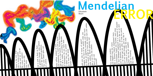There is the one drop<br>rule in mixing paints:<br>just one and stir and let<br>the colors coalesce<br>before you drip before you drip one more until<br>until<br>until

**6**

red is pink is flush as flesh.<br>In genetics, though, rules behave<br>more like general guidelines.<br>The color wheel spins out<br>of control,

hues suffuse instead of sum,<br>and sometimes a Czech and a Syrian<br>add up to a fair-haired, freckled American.<br>It's all a matter, according to Mendel,<br>of dominance. Do you have what<br>it takes? Are you so potent<br>as to stain the human race human race

with one iota of ovum, of sperm?<br>Imagine the face of the world's child, one<br>in whom all pigments converge, and the muck<br>that would surge up from the tawny tans and whites,<br>reds, yellows, blacks splashing over<br>like a riot i

You emerge random<br>and elegant from the chaos<br>like a Jackson Pollock slapdashed there,<br>chromosomes frayed into brushes, each drop<br>of dye dollopped haphazard in a moment of disaster<br>and of pleasure. Accidents spill in like a

Mendelia Beam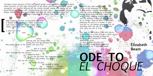"Accident causes fracture of third and fourth lumbar vertebrae, three fractures of pelvis, eleven fractures of right foot, dislocation of left elbow, penetrating abdominal wound caused by iron handrail entering left hip, exiting through vagina and tearing left lip. Acute peritonitis. Cystitis with catheterization for many days..... Sensation of constant fatigue and at times pain in backbone and right leg, which now never leave her." -Dr. Henriette Begun regarding his patient Frida Kahlo, 1926

Rap-a-tapping the beat on the floor, she hums a balada amid the engine's rattle and rumble until-hush. She gasps as the trolley comes slowly closer and closer-a crash, a jumble,

a steel rod in her

all stop-

neck. ribs.

pelvis,

uterus. piercing soft red mango flesh, jutting from the lips between her legs. Her pupils, seeds of the peeled and juicy fruit, dash.

> dart in a panic about the lucid vision of a nightmare.

She's maimed, but she dances-

a *bailaring* flush to the bus floor, her merengue partner she guides with writhes. The moans that are her music.

the blood red pain, the flashes of hands. tongues. throats. lips. metal slicing flesh like a knife through melon, flecks of dust drift softly, lightly, yellow in the whitewash of sunlight. A gold nimbus, metallic flakes cascade onto the prima *bailarina* as a spotlight having flared from one white paper cup when a man, cradling brushes and oils and the precious chalice of gold, jerked by el choque, flung up arms in surrender, baptizing the saint in a shower of gold. Just like so, the painter passed on his art, sprinkling what was left for him to paint onto what was left of Frida.

Now look at the broken china doll dancer, arms twisted in a halo through a craze of hair, thighs thrashing through pooling red like thick skirts sticky with sweat. Baila, Frida, baila on your mechanical pole axis. But she only poses there, contorted like a cripple, or a bailarina, posed.

Elizabeth **Beam** 

## OPENSER. EL CHOOUE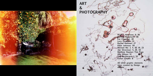**& PHOTOGRAPHY**

**ART** 

**Nicolas Altemose: 6, 26 Marissa Bergmann: 48 Kal Chapman: 40 Lucy Goodson: 14 Rachel Hammer: 27 Elliot Johnson: 39 Michael Ma: 2, 4, 18, 19, 23 Jon Silverman: 5, 20, 43 Matthew Slayton: This Page Olly Wilson: 11 Lisa Bevilacqua: 1, 32 Yuhan Chiueh: 8**

**All other graphic elements were created by Design editors**